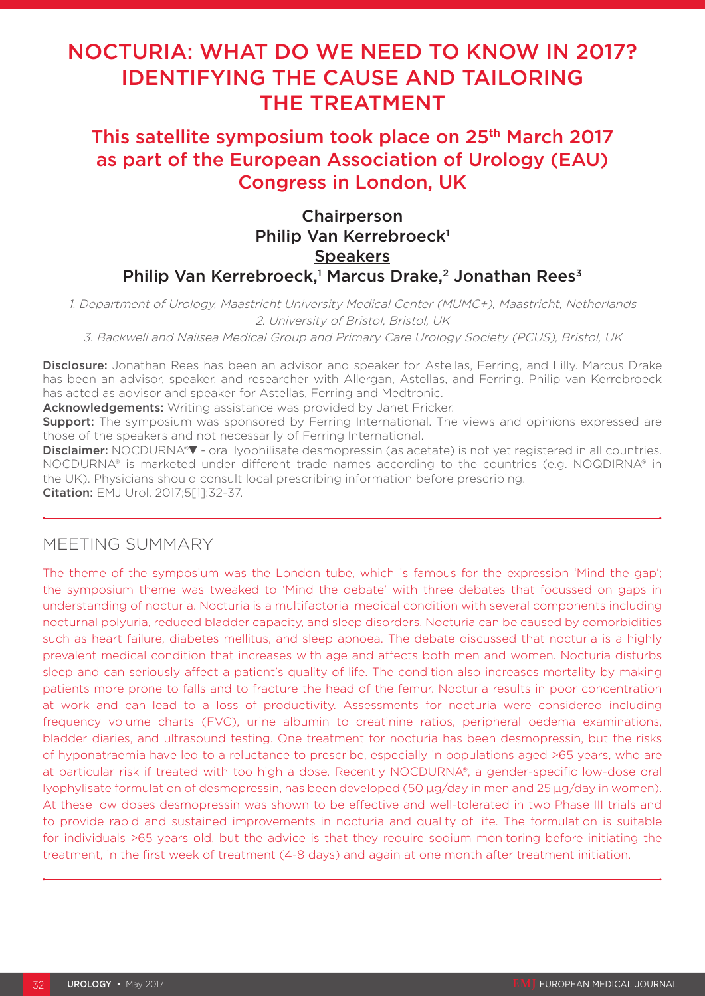# NOCTURIA: WHAT DO WE NEED TO KNOW IN 2017? IDENTIFYING THE CAUSE AND TAILORING THE TREATMENT

## This satellite symposium took place on 25<sup>th</sup> March 2017 as part of the European Association of Urology (EAU) Congress in London, UK

### Chairperson Philip Van Kerrebroeck<sup>1</sup> **Speakers** Philip Van Kerrebroeck,<sup>1</sup> Marcus Drake,<sup>2</sup> Jonathan Rees<sup>3</sup>

1. Department of Urology, Maastricht University Medical Center (MUMC+), Maastricht, Netherlands 2. University of Bristol, Bristol, UK

3. Backwell and Nailsea Medical Group and Primary Care Urology Society (PCUS), Bristol, UK

Disclosure: Jonathan Rees has been an advisor and speaker for Astellas, Ferring, and Lilly. Marcus Drake has been an advisor, speaker, and researcher with Allergan, Astellas, and Ferring. Philip van Kerrebroeck has acted as advisor and speaker for Astellas, Ferring and Medtronic.

Acknowledgements: Writing assistance was provided by Janet Fricker.

**Support:** The symposium was sponsored by Ferring International. The views and opinions expressed are those of the speakers and not necessarily of Ferring International.

Disclaimer: NOCDURNA®▼- oral lyophilisate desmopressin (as acetate) is not vet registered in all countries. NOCDURNA® is marketed under different trade names according to the countries (e.g. NOQDIRNA® in the UK). Physicians should consult local prescribing information before prescribing. Citation: EMJ Urol. 2017;5[1]:32-37.

### MEETING SUMMARY

The theme of the symposium was the London tube, which is famous for the expression 'Mind the gap'; the symposium theme was tweaked to 'Mind the debate' with three debates that focussed on gaps in understanding of nocturia. Nocturia is a multifactorial medical condition with several components including nocturnal polyuria, reduced bladder capacity, and sleep disorders. Nocturia can be caused by comorbidities such as heart failure, diabetes mellitus, and sleep apnoea. The debate discussed that nocturia is a highly prevalent medical condition that increases with age and affects both men and women. Nocturia disturbs sleep and can seriously affect a patient's quality of life. The condition also increases mortality by making patients more prone to falls and to fracture the head of the femur. Nocturia results in poor concentration at work and can lead to a loss of productivity. Assessments for nocturia were considered including frequency volume charts (FVC), urine albumin to creatinine ratios, peripheral oedema examinations, bladder diaries, and ultrasound testing. One treatment for nocturia has been desmopressin, but the risks of hyponatraemia have led to a reluctance to prescribe, especially in populations aged >65 years, who are at particular risk if treated with too high a dose. Recently NOCDURNA®, a gender-specific low-dose oral lyophylisate formulation of desmopressin, has been developed (50 µg/day in men and 25 µg/day in women). At these low doses desmopressin was shown to be effective and well-tolerated in two Phase III trials and to provide rapid and sustained improvements in nocturia and quality of life. The formulation is suitable for individuals >65 years old, but the advice is that they require sodium monitoring before initiating the treatment, in the first week of treatment (4-8 days) and again at one month after treatment initiation.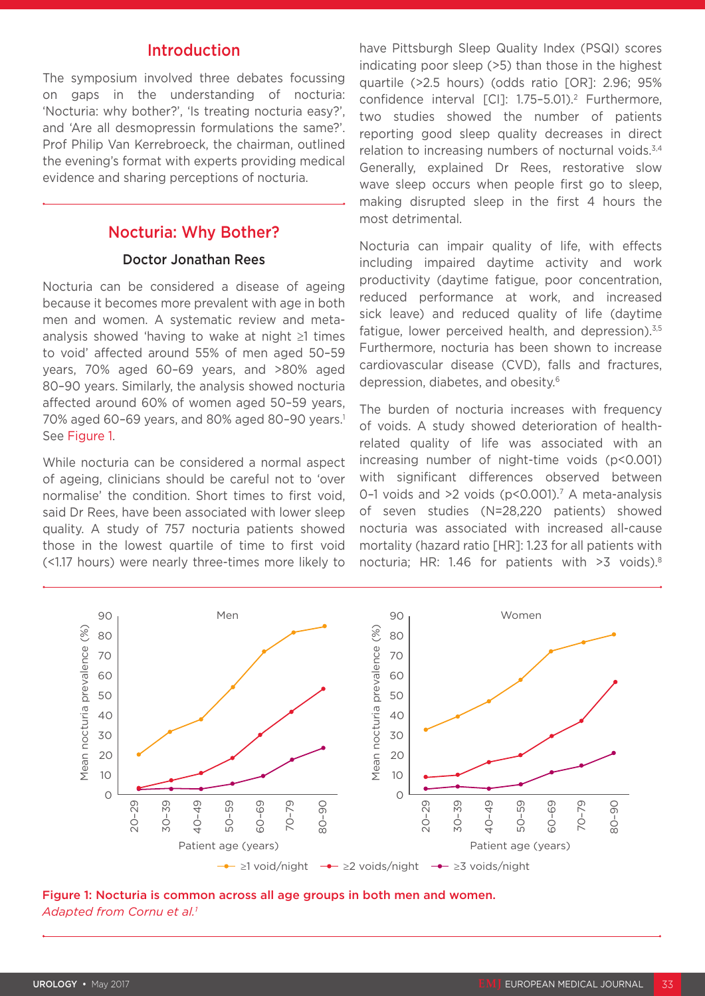### Introduction

The symposium involved three debates focussing on gaps in the understanding of nocturia: 'Nocturia: why bother?', 'Is treating nocturia easy?', and 'Are all desmopressin formulations the same?'. Prof Philip Van Kerrebroeck, the chairman, outlined the evening's format with experts providing medical evidence and sharing perceptions of nocturia.

### Nocturia: Why Bother?

#### Doctor Jonathan Rees

Nocturia can be considered a disease of ageing because it becomes more prevalent with age in both men and women. A systematic review and metaanalysis showed 'having to wake at night ≥1 times to void' affected around 55% of men aged 50–59 years, 70% aged 60–69 years, and >80% aged 80–90 years. Similarly, the analysis showed nocturia affected around 60% of women aged 50–59 years, 70% aged 60-69 years, and 80% aged 80-90 years.<sup>1</sup> See Figure 1.

While nocturia can be considered a normal aspect of ageing, clinicians should be careful not to 'over normalise' the condition. Short times to first void, said Dr Rees, have been associated with lower sleep quality. A study of 757 nocturia patients showed those in the lowest quartile of time to first void (<1.17 hours) were nearly three-times more likely to

have Pittsburgh Sleep Quality Index (PSQI) scores indicating poor sleep (>5) than those in the highest quartile (>2.5 hours) (odds ratio [OR]: 2.96; 95% confidence interval [CI]: 1.75-5.01).<sup>2</sup> Furthermore, two studies showed the number of patients reporting good sleep quality decreases in direct relation to increasing numbers of nocturnal voids.<sup>3,4</sup> Generally, explained Dr Rees, restorative slow wave sleep occurs when people first go to sleep, making disrupted sleep in the first 4 hours the most detrimental.

Nocturia can impair quality of life, with effects including impaired daytime activity and work productivity (daytime fatigue, poor concentration, reduced performance at work, and increased sick leave) and reduced quality of life (daytime fatigue, lower perceived health, and depression). $3,5$ Furthermore, nocturia has been shown to increase cardiovascular disease (CVD), falls and fractures, depression, diabetes, and obesity.6

The burden of nocturia increases with frequency of voids. A study showed deterioration of healthrelated quality of life was associated with an increasing number of night-time voids (p<0.001) with significant differences observed between 0-1 voids and  $>2$  voids ( $p \le 0.001$ ).<sup>7</sup> A meta-analysis of seven studies (N=28,220 patients) showed nocturia was associated with increased all-cause mortality (hazard ratio [HR]: 1.23 for all patients with nocturia; HR: 1.46 for patients with >3 voids).8



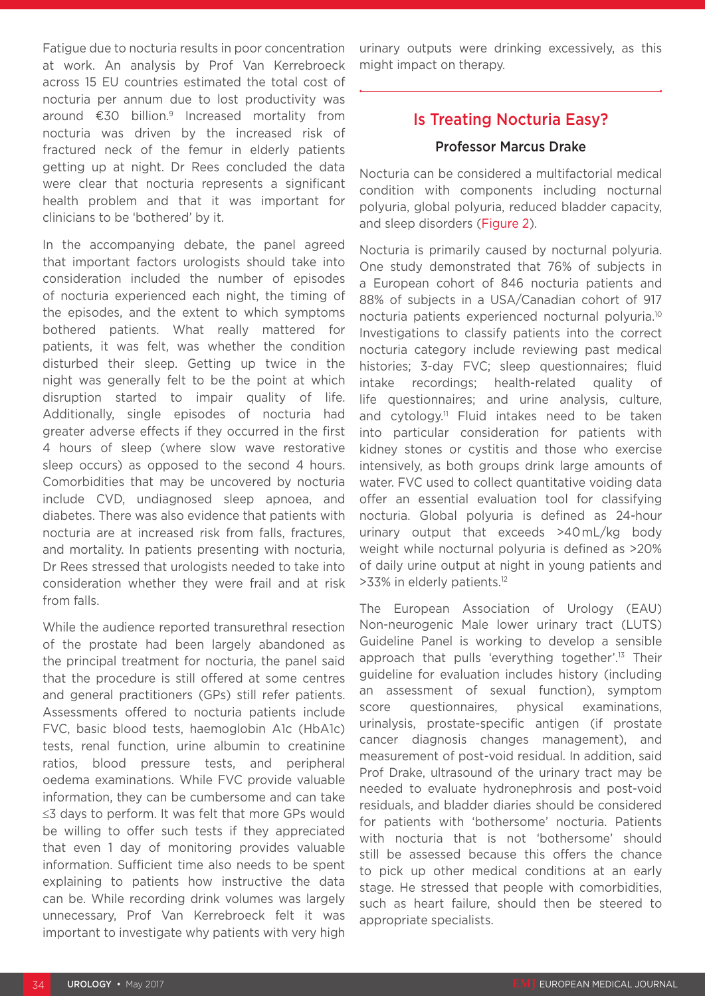Fatigue due to nocturia results in poor concentration at work. An analysis by Prof Van Kerrebroeck across 15 EU countries estimated the total cost of nocturia per annum due to lost productivity was around €30 billion.9 Increased mortality from nocturia was driven by the increased risk of fractured neck of the femur in elderly patients getting up at night. Dr Rees concluded the data were clear that nocturia represents a significant health problem and that it was important for clinicians to be 'bothered' by it.

In the accompanying debate, the panel agreed that important factors urologists should take into consideration included the number of episodes of nocturia experienced each night, the timing of the episodes, and the extent to which symptoms bothered patients. What really mattered for patients, it was felt, was whether the condition disturbed their sleep. Getting up twice in the night was generally felt to be the point at which disruption started to impair quality of life. Additionally, single episodes of nocturia had greater adverse effects if they occurred in the first 4 hours of sleep (where slow wave restorative sleep occurs) as opposed to the second 4 hours. Comorbidities that may be uncovered by nocturia include CVD, undiagnosed sleep apnoea, and diabetes. There was also evidence that patients with nocturia are at increased risk from falls, fractures, and mortality. In patients presenting with nocturia, Dr Rees stressed that urologists needed to take into consideration whether they were frail and at risk from falls.

While the audience reported transurethral resection of the prostate had been largely abandoned as the principal treatment for nocturia, the panel said that the procedure is still offered at some centres and general practitioners (GPs) still refer patients. Assessments offered to nocturia patients include FVC, basic blood tests, haemoglobin A1c (HbA1c) tests, renal function, urine albumin to creatinine ratios, blood pressure tests, and peripheral oedema examinations. While FVC provide valuable information, they can be cumbersome and can take ≤3 days to perform. It was felt that more GPs would be willing to offer such tests if they appreciated that even 1 day of monitoring provides valuable information. Sufficient time also needs to be spent explaining to patients how instructive the data can be. While recording drink volumes was largely unnecessary, Prof Van Kerrebroeck felt it was important to investigate why patients with very high urinary outputs were drinking excessively, as this might impact on therapy.

### Is Treating Nocturia Easy?

#### Professor Marcus Drake

Nocturia can be considered a multifactorial medical condition with components including nocturnal polyuria, global polyuria, reduced bladder capacity, and sleep disorders (Figure 2).

Nocturia is primarily caused by nocturnal polyuria. One study demonstrated that 76% of subjects in a European cohort of 846 nocturia patients and 88% of subjects in a USA/Canadian cohort of 917 nocturia patients experienced nocturnal polyuria.10 Investigations to classify patients into the correct nocturia category include reviewing past medical histories; 3-day FVC; sleep questionnaires; fluid intake recordings; health-related quality of life questionnaires; and urine analysis, culture, and cytology.<sup>11</sup> Fluid intakes need to be taken into particular consideration for patients with kidney stones or cystitis and those who exercise intensively, as both groups drink large amounts of water. FVC used to collect quantitative voiding data offer an essential evaluation tool for classifying nocturia. Global polyuria is defined as 24-hour urinary output that exceeds >40 mL/kg body weight while nocturnal polyuria is defined as >20% of daily urine output at night in young patients and >33% in elderly patients.12

The European Association of Urology (EAU) Non-neurogenic Male lower urinary tract (LUTS) Guideline Panel is working to develop a sensible approach that pulls 'everything together'.13 Their guideline for evaluation includes history (including an assessment of sexual function), symptom score questionnaires, physical examinations, urinalysis, prostate-specific antigen (if prostate cancer diagnosis changes management), and measurement of post-void residual. In addition, said Prof Drake, ultrasound of the urinary tract may be needed to evaluate hydronephrosis and post-void residuals, and bladder diaries should be considered for patients with 'bothersome' nocturia. Patients with nocturia that is not 'bothersome' should still be assessed because this offers the chance to pick up other medical conditions at an early stage. He stressed that people with comorbidities, such as heart failure, should then be steered to appropriate specialists.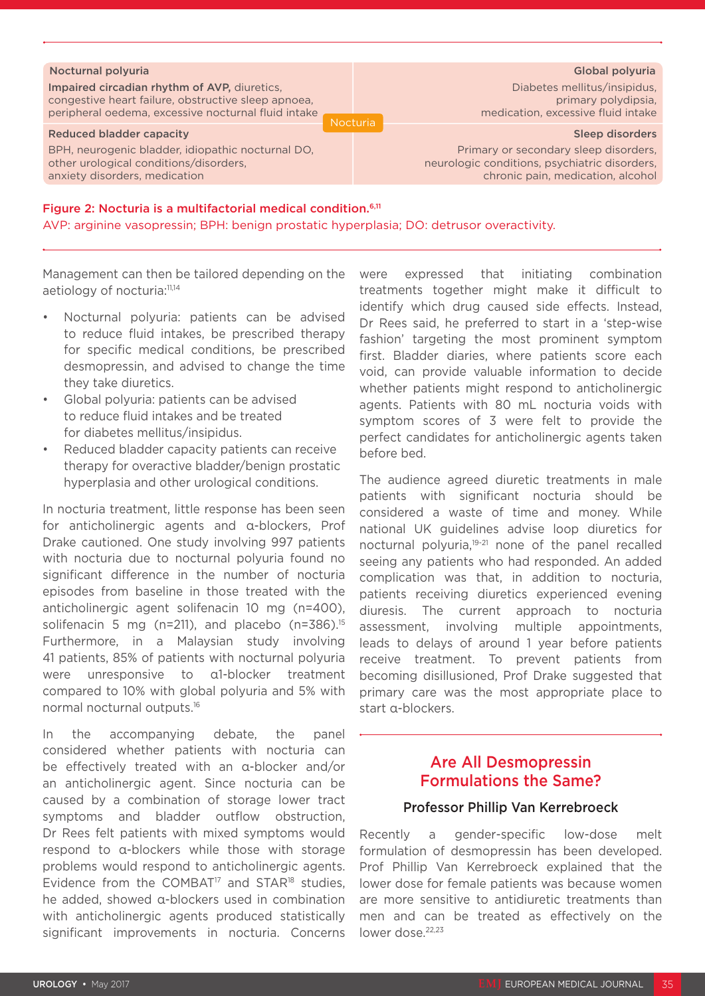| Nocturnal polyuria                                                                                                                                         | Global polyuria                                                                                                                                       |
|------------------------------------------------------------------------------------------------------------------------------------------------------------|-------------------------------------------------------------------------------------------------------------------------------------------------------|
| Impaired circadian rhythm of AVP, diuretics,<br>congestive heart failure, obstructive sleep apnoea,<br>peripheral oedema, excessive nocturnal fluid intake | Diabetes mellitus/insipidus,<br>primary polydipsia.<br>medication, excessive fluid intake<br><b>Nocturia</b>                                          |
| Reduced bladder capacity<br>BPH, neurogenic bladder, idiopathic nocturnal DO,<br>other urological conditions/disorders,<br>anxiety disorders, medication   | <b>Sleep disorders</b><br>Primary or secondary sleep disorders,<br>neurologic conditions, psychiatric disorders,<br>chronic pain, medication, alcohol |

#### Figure 2: Nocturia is a multifactorial medical condition.6,11

AVP: arginine vasopressin; BPH: benign prostatic hyperplasia; DO: detrusor overactivity.

Management can then be tailored depending on the aetiology of nocturia:<sup>11,14</sup>

- Nocturnal polyuria: patients can be advised to reduce fluid intakes, be prescribed therapy for specific medical conditions, be prescribed desmopressin, and advised to change the time they take diuretics.
- Global polyuria: patients can be advised to reduce fluid intakes and be treated for diabetes mellitus/insipidus.
- Reduced bladder capacity patients can receive therapy for overactive bladder/benign prostatic hyperplasia and other urological conditions.

In nocturia treatment, little response has been seen for anticholinergic agents and α-blockers, Prof Drake cautioned. One study involving 997 patients with nocturia due to nocturnal polyuria found no significant difference in the number of nocturia episodes from baseline in those treated with the anticholinergic agent solifenacin 10 mg (n=400), solifenacin 5 mg (n=211), and placebo (n=386). $15$ Furthermore, in a Malaysian study involving 41 patients, 85% of patients with nocturnal polyuria were unresponsive to α1-blocker treatment compared to 10% with global polyuria and 5% with normal nocturnal outputs.16

In the accompanying debate, the panel considered whether patients with nocturia can be effectively treated with an α-blocker and/or an anticholinergic agent. Since nocturia can be caused by a combination of storage lower tract symptoms and bladder outflow obstruction, Dr Rees felt patients with mixed symptoms would respond to α-blockers while those with storage problems would respond to anticholinergic agents. Evidence from the COMBAT<sup>17</sup> and STAR<sup>18</sup> studies, he added, showed α-blockers used in combination with anticholinergic agents produced statistically significant improvements in nocturia. Concerns were expressed that initiating combination treatments together might make it difficult to identify which drug caused side effects. Instead, Dr Rees said, he preferred to start in a 'step-wise fashion' targeting the most prominent symptom first. Bladder diaries, where patients score each void, can provide valuable information to decide whether patients might respond to anticholinergic agents. Patients with 80 mL nocturia voids with symptom scores of 3 were felt to provide the perfect candidates for anticholinergic agents taken before bed.

The audience agreed diuretic treatments in male patients with significant nocturia should be considered a waste of time and money. While national UK guidelines advise loop diuretics for nocturnal polyuria,<sup>19-21</sup> none of the panel recalled seeing any patients who had responded. An added complication was that, in addition to nocturia, patients receiving diuretics experienced evening diuresis. The current approach to nocturia assessment, involving multiple appointments, leads to delays of around 1 year before patients receive treatment. To prevent patients from becoming disillusioned, Prof Drake suggested that primary care was the most appropriate place to start α-blockers.

### Are All Desmopressin Formulations the Same?

### Professor Phillip Van Kerrebroeck

Recently a gender-specific low-dose melt formulation of desmopressin has been developed. Prof Phillip Van Kerrebroeck explained that the lower dose for female patients was because women are more sensitive to antidiuretic treatments than men and can be treated as effectively on the lower dose.<sup>22,23</sup>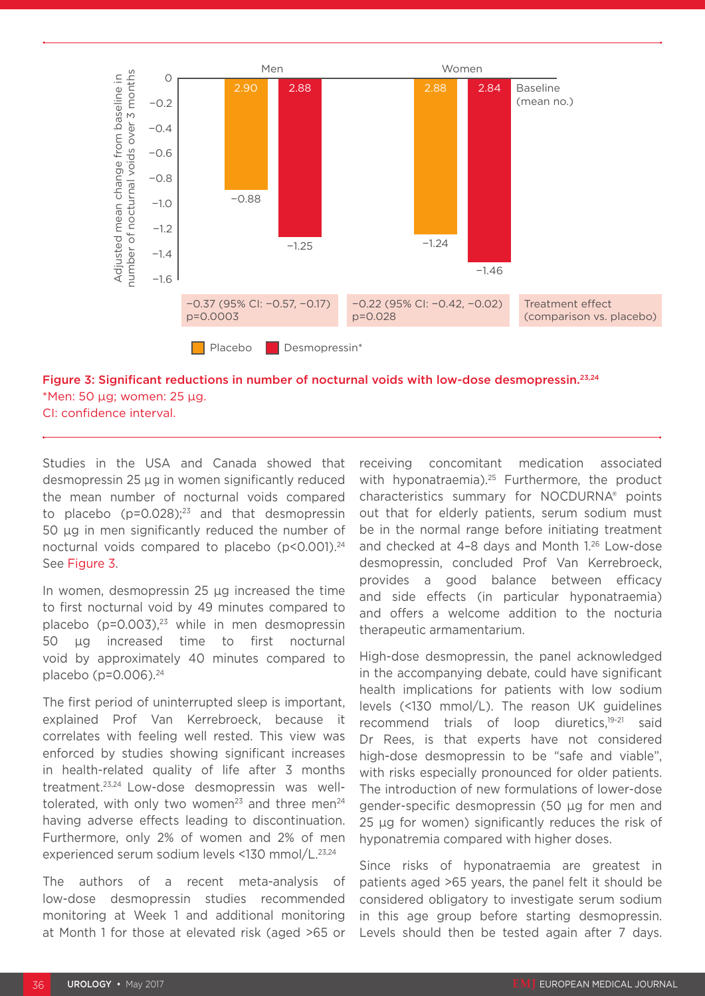



Studies in the USA and Canada showed that desmopressin 25 µg in women significantly reduced the mean number of nocturnal voids compared to placebo ( $p=0.028$ );<sup>23</sup> and that desmopressin 50 µg in men significantly reduced the number of nocturnal voids compared to placebo ( $p$ <0.001).<sup>24</sup> See Figure 3.

In women, desmopressin 25 µg increased the time to first nocturnal void by 49 minutes compared to placebo ( $p=0.003$ ),<sup>23</sup> while in men desmopressin 50 µg increased time to first nocturnal void by approximately 40 minutes compared to placebo ( $p=0.006$ ).<sup>24</sup>

The first period of uninterrupted sleep is important, explained Prof Van Kerrebroeck, because it correlates with feeling well rested. This view was enforced by studies showing significant increases in health-related quality of life after 3 months treatment.23,24 Low-dose desmopressin was welltolerated, with only two women<sup>23</sup> and three men<sup>24</sup> having adverse effects leading to discontinuation. Furthermore, only 2% of women and 2% of men experienced serum sodium levels <130 mmol/L.<sup>23,24</sup>

The authors of a recent meta-analysis of low-dose desmopressin studies recommended monitoring at Week 1 and additional monitoring at Month 1 for those at elevated risk (aged >65 or receiving concomitant medication associated with hyponatraemia).<sup>25</sup> Furthermore, the product characteristics summary for NOCDURNA® points out that for elderly patients, serum sodium must be in the normal range before initiating treatment and checked at 4-8 days and Month 1.<sup>26</sup> Low-dose desmopressin, concluded Prof Van Kerrebroeck, provides a good balance between efficacy and side effects (in particular hyponatraemia) and offers a welcome addition to the nocturia therapeutic armamentarium.

High-dose desmopressin, the panel acknowledged in the accompanying debate, could have significant health implications for patients with low sodium levels (<130 mmol/L). The reason UK guidelines recommend trials of loop diuretics,19-21 said Dr Rees, is that experts have not considered high-dose desmopressin to be "safe and viable", with risks especially pronounced for older patients. The introduction of new formulations of lower-dose gender-specific desmopressin (50 µg for men and 25 µg for women) significantly reduces the risk of hyponatremia compared with higher doses.

Since risks of hyponatraemia are greatest in patients aged >65 years, the panel felt it should be considered obligatory to investigate serum sodium in this age group before starting desmopressin. Levels should then be tested again after 7 days.